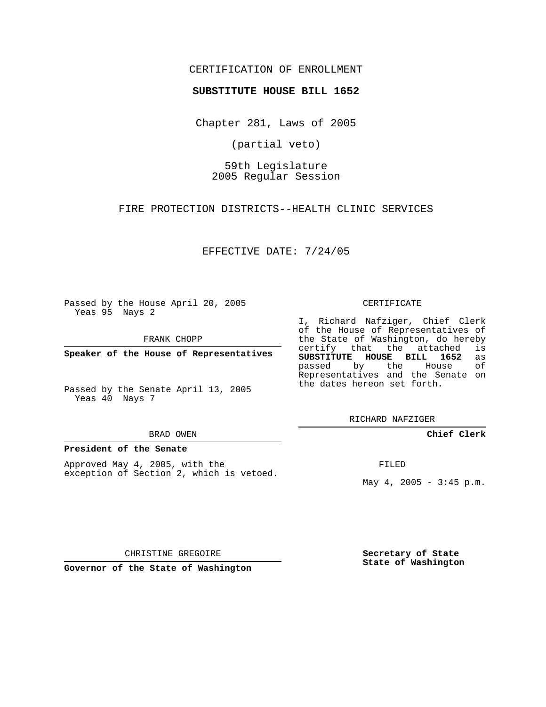# CERTIFICATION OF ENROLLMENT

## **SUBSTITUTE HOUSE BILL 1652**

Chapter 281, Laws of 2005

(partial veto)

59th Legislature 2005 Regular Session

FIRE PROTECTION DISTRICTS--HEALTH CLINIC SERVICES

EFFECTIVE DATE: 7/24/05

Passed by the House April 20, 2005 Yeas 95 Nays 2

FRANK CHOPP

**Speaker of the House of Representatives**

Passed by the Senate April 13, 2005 Yeas 40 Nays 7

#### BRAD OWEN

#### **President of the Senate**

Approved May 4, 2005, with the exception of Section 2, which is vetoed.

#### CERTIFICATE

I, Richard Nafziger, Chief Clerk of the House of Representatives of the State of Washington, do hereby<br>certify that the attached is certify that the attached **SUBSTITUTE HOUSE BILL 1652** as passed by the House of Representatives and the Senate on the dates hereon set forth.

RICHARD NAFZIGER

## **Chief Clerk**

FILED

May  $4, 2005 - 3:45 p.m.$ 

CHRISTINE GREGOIRE

**Governor of the State of Washington**

**Secretary of State State of Washington**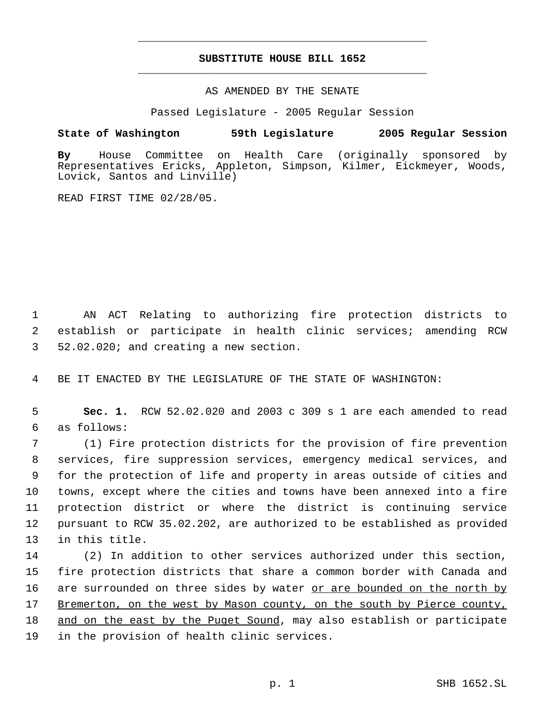# **SUBSTITUTE HOUSE BILL 1652** \_\_\_\_\_\_\_\_\_\_\_\_\_\_\_\_\_\_\_\_\_\_\_\_\_\_\_\_\_\_\_\_\_\_\_\_\_\_\_\_\_\_\_\_\_

\_\_\_\_\_\_\_\_\_\_\_\_\_\_\_\_\_\_\_\_\_\_\_\_\_\_\_\_\_\_\_\_\_\_\_\_\_\_\_\_\_\_\_\_\_

### AS AMENDED BY THE SENATE

Passed Legislature - 2005 Regular Session

## **State of Washington 59th Legislature 2005 Regular Session**

**By** House Committee on Health Care (originally sponsored by Representatives Ericks, Appleton, Simpson, Kilmer, Eickmeyer, Woods, Lovick, Santos and Linville)

READ FIRST TIME 02/28/05.

 1 AN ACT Relating to authorizing fire protection districts to 2 establish or participate in health clinic services; amending RCW 3 52.02.020; and creating a new section.

4 BE IT ENACTED BY THE LEGISLATURE OF THE STATE OF WASHINGTON:

 5 **Sec. 1.** RCW 52.02.020 and 2003 c 309 s 1 are each amended to read 6 as follows:

 (1) Fire protection districts for the provision of fire prevention services, fire suppression services, emergency medical services, and for the protection of life and property in areas outside of cities and towns, except where the cities and towns have been annexed into a fire protection district or where the district is continuing service pursuant to RCW 35.02.202, are authorized to be established as provided in this title.

 (2) In addition to other services authorized under this section, fire protection districts that share a common border with Canada and 16 are surrounded on three sides by water or are bounded on the north by Bremerton, on the west by Mason county, on the south by Pierce county, 18 and on the east by the Puget Sound, may also establish or participate in the provision of health clinic services.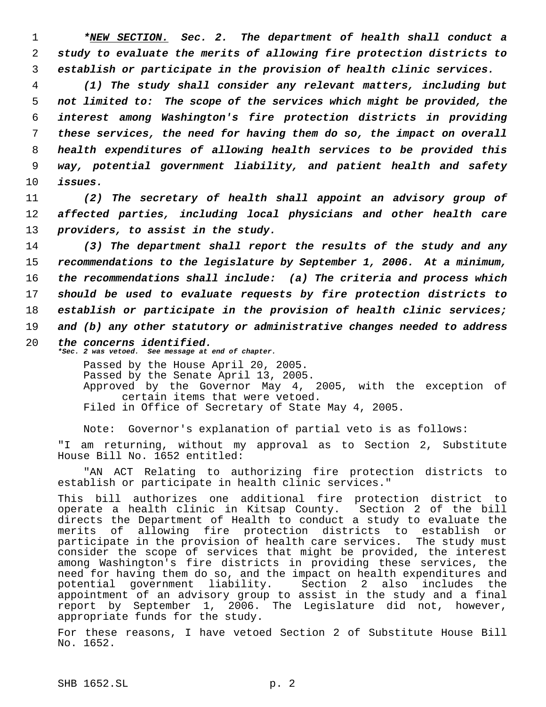1 *\*NEW SECTION. Sec. 2. The department of health shall conduct a* 2 *study to evaluate the merits of allowing fire protection districts to* 3 *establish or participate in the provision of health clinic services.*

 *(1) The study shall consider any relevant matters, including but not limited to: The scope of the services which might be provided, the interest among Washington's fire protection districts in providing these services, the need for having them do so, the impact on overall health expenditures of allowing health services to be provided this way, potential government liability, and patient health and safety* 10 *issues.*

11 *(2) The secretary of health shall appoint an advisory group of* 12 *affected parties, including local physicians and other health care* 13 *providers, to assist in the study.*

 *(3) The department shall report the results of the study and any recommendations to the legislature by September 1, 2006. At a minimum, the recommendations shall include: (a) The criteria and process which should be used to evaluate requests by fire protection districts to establish or participate in the provision of health clinic services; and (b) any other statutory or administrative changes needed to address*

20 *the concerns identified. \*Sec. 2 was vetoed. See message at end of chapter.*

Passed by the House April 20, 2005. Passed by the Senate April 13, 2005. Approved by the Governor May 4, 2005, with the exception of certain items that were vetoed. Filed in Office of Secretary of State May 4, 2005.

Note: Governor's explanation of partial veto is as follows: "I am returning, without my approval as to Section 2, Substitute House Bill No. 1652 entitled:

"AN ACT Relating to authorizing fire protection districts to establish or participate in health clinic services."

This bill authorizes one additional fire protection district to operate a health clinic in Kitsap County. Section 2 of the bill directs the Department of Health to conduct a study to evaluate the merits of allowing fire protection districts to establish or participate in the provision of health care services. The study must consider the scope of services that might be provided, the interest among Washington's fire districts in providing these services, the need for having them do so, and the impact on health expenditures and potential government liability. Section 2 also includes the appointment of an advisory group to assist in the study and a final report by September 1, 2006. The Legislature did not, however, appropriate funds for the study.

For these reasons, I have vetoed Section 2 of Substitute House Bill No. 1652.